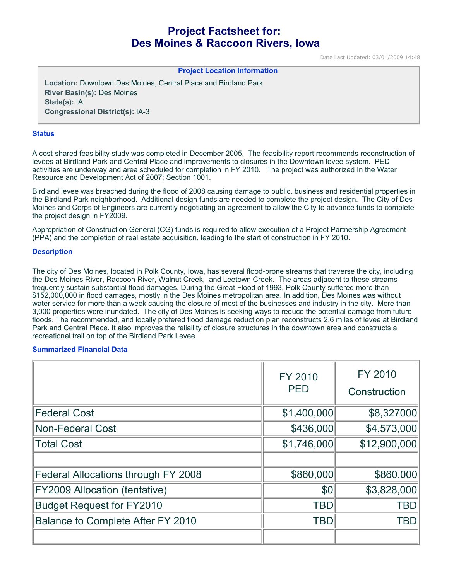# **Project Factsheet for: Des Moines & Raccoon Rivers, Iowa**

Date Last Updated: 03/01/2009 14:48

# **Project Location Information**

**Location:** Downtown Des Moines, Central Place and Birdland Park **River Basin(s):** Des Moines **State(s):** IA **Congressional District(s):** IA-3

#### **Status**

A cost-shared feasibility study was completed in December 2005. The feasibility report recommends reconstruction of levees at Birdland Park and Central Place and improvements to closures in the Downtown levee system. PED activities are underway and area scheduled for completion in FY 2010. The project was authorized In the Water Resource and Development Act of 2007; Section 1001.

Birdland levee was breached during the flood of 2008 causing damage to public, business and residential properties in the Birdland Park neighborhood. Additional design funds are needed to complete the project design. The City of Des Moines and Corps of Engineers are currently negotiating an agreement to allow the City to advance funds to complete the project design in FY2009.

Appropriation of Construction General (CG) funds is required to allow execution of a Project Partnership Agreement (PPA) and the completion of real estate acquisition, leading to the start of construction in FY 2010.

#### **Description**

The city of Des Moines, located in Polk County, Iowa, has several flood-prone streams that traverse the city, including the Des Moines River, Raccoon River, Walnut Creek, and Leetown Creek. The areas adjacent to these streams frequently sustain substantial flood damages. During the Great Flood of 1993, Polk County suffered more than \$152,000,000 in flood damages, mostly in the Des Moines metropolitan area. In addition, Des Moines was without water service for more than a week causing the closure of most of the businesses and industry in the city. More than 3,000 properties were inundated. The city of Des Moines is seeking ways to reduce the potential damage from future floods. The recommended, and locally prefered flood damage reduction plan reconstructs 2.6 miles of levee at Birdland Park and Central Place. It also improves the reliaility of closure structures in the downtown area and constructs a recreational trail on top of the Birdland Park Levee.

#### **Summarized Financial Data**

|                                     | FY 2010<br><b>PED</b> | <b>FY 2010</b><br>Construction |
|-------------------------------------|-----------------------|--------------------------------|
| <b>Federal Cost</b>                 | \$1,400,000           | \$8,327000                     |
| <b>Non-Federal Cost</b>             | \$436,000             | \$4,573,000                    |
| <b>Total Cost</b>                   | \$1,746,000           | \$12,900,000                   |
|                                     |                       |                                |
| Federal Allocations through FY 2008 | \$860,000             | \$860,000                      |
| FY2009 Allocation (tentative)       | \$0                   | \$3,828,000                    |
| <b>Budget Request for FY2010</b>    | <b>TBD</b>            | <b>TBD</b>                     |
| Balance to Complete After FY 2010   | <b>TBD</b>            | <b>TBD</b>                     |
|                                     |                       |                                |